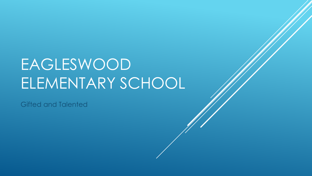# EAGLESWOOD ELEMENTARY SCHOOL

Gifted and Talented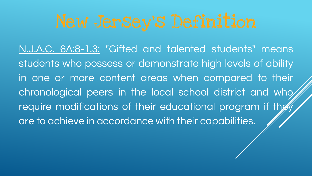N.J.A.C. 6A:8-1.3: "Gifted and talented students" means students who possess or demonstrate high levels of ability in one or more content areas when compared to their chronological peers in the local school district and who require modifications of their educational program if they are to achieve in accordance with their capabilities.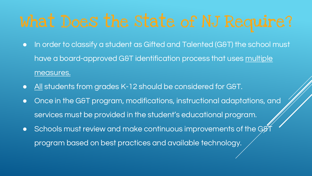- In order to classify a student as Gifted and Talented (G&T) the school must have a board-approved G&T identification process that uses multiple measures.
- All students from grades K-12 should be considered for G&T.
- Once in the G&T program, modifications, instructional adaptations, and services must be provided in the student's educational program.
- $\bullet$  Schools must review and make continuous improvements of the G $\cancel{G}$ program based on best practices and available technology.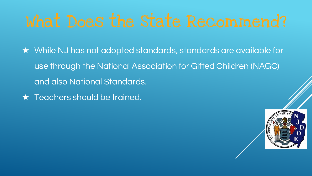- ★ While NJ has not adopted standards, standards are available for use through the National Association for Gifted Children (NAGC) and also National Standards.
- ★ Teachers should be trained.

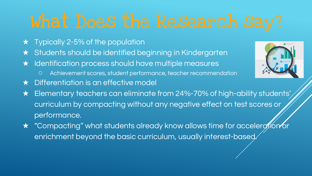- $\star$  Typically 2-5% of the population
- ★ Students should be identified beginning in Kindergarten
- ★ Identification process should have multiple measures
	- Achievement scores, student performance, teacher recommendation
- ★ Differentiation is an effective model
- ★ Elementary teachers can eliminate from 24%-70% of high-ability students' curriculum by compacting without any negative effect on test scores or performance.
- ★ "Compacting" what students already know allows time for acceleration or enrichment beyond the basic curriculum, usually interest-based.

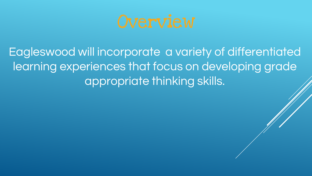

Eagleswood will incorporate a variety of differentiated learning experiences that focus on developing grade appropriate thinking skills.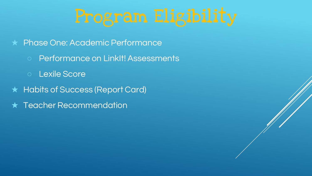- ★ Phase One: Academic Performance
	- Performance on LinkIt! Assessments
	- Lexile Score
- ★ Habits of Success (Report Card)
- ★ Teacher Recommendation